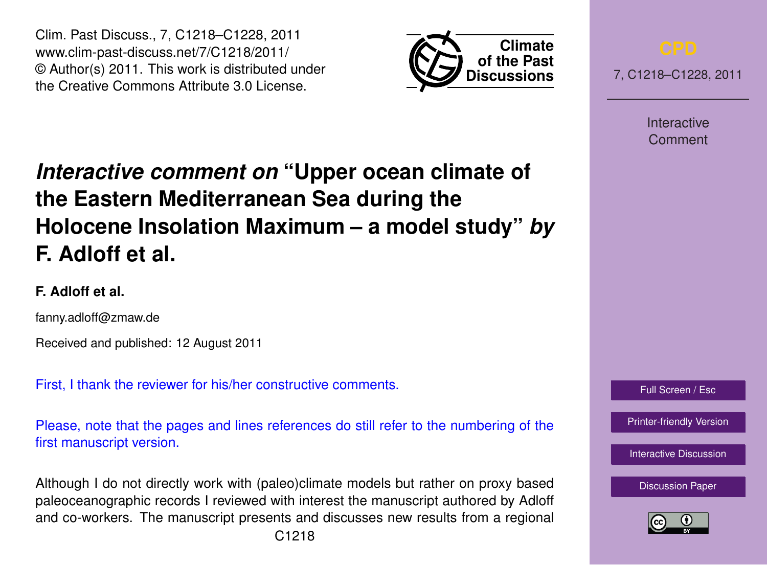Clim. Past Discuss., 7, C1218–C1228, 2011 www.clim-past-discuss.net/7/C1218/2011/ © Author(s) 2011. This work is distributed under the Creative Commons Attribute 3.0 License.



7, C1218–C1228, 2011

Interactive Comment

# *Interactive comment on* **"Upper ocean climate of the Eastern Mediterranean Sea during the Holocene Insolation Maximum – a model study"** *by* **F. Adloff et al.**

# **F. Adloff et al.**

fanny.adloff@zmaw.de

Received and published: 12 August 2011

First, I thank the reviewer for his/her constructive comments.

Please, note that the pages and lines references do still refer to the numbering of the first manuscript version.

Although I do not directly work with (paleo)climate models but rather on proxy based paleoceanographic records I reviewed with interest the manuscript authored by Adloff and co-workers. The manuscript presents and discusses new results from a regional



[Printer-friendly Version](http://www.clim-past-discuss.net/7/C1218/2011/cpd-7-C1218-2011-print.pdf)

[Interactive Discussion](http://www.clim-past-discuss.net/7/1457/2011/cpd-7-1457-2011-discussion.html)

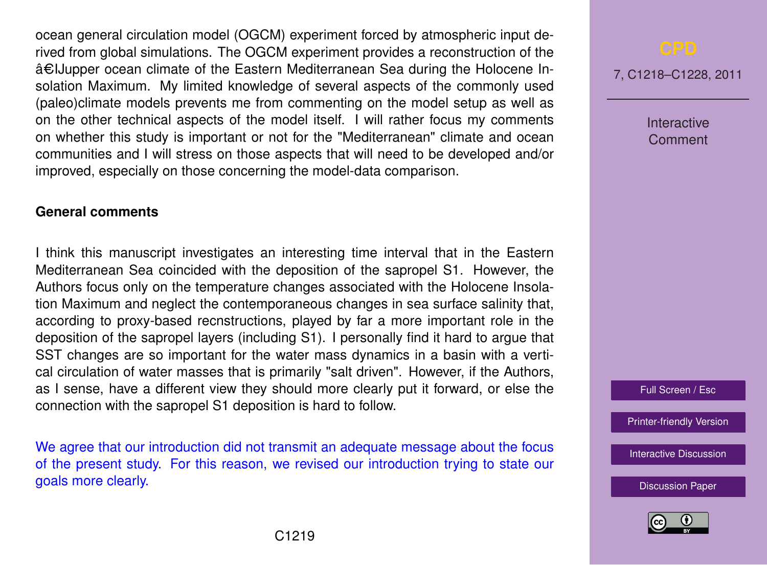ocean general circulation model (OGCM) experiment forced by atmospheric input derived from global simulations. The OGCM experiment provides a reconstruction of the â€IJupper ocean climate of the Eastern Mediterranean Sea during the Holocene Insolation Maximum. My limited knowledge of several aspects of the commonly used (paleo)climate models prevents me from commenting on the model setup as well as on the other technical aspects of the model itself. I will rather focus my comments on whether this study is important or not for the "Mediterranean" climate and ocean communities and I will stress on those aspects that will need to be developed and/or improved, especially on those concerning the model-data comparison.

## **General comments**

I think this manuscript investigates an interesting time interval that in the Eastern Mediterranean Sea coincided with the deposition of the sapropel S1. However, the Authors focus only on the temperature changes associated with the Holocene Insolation Maximum and neglect the contemporaneous changes in sea surface salinity that, according to proxy-based recnstructions, played by far a more important role in the deposition of the sapropel layers (including S1). I personally find it hard to argue that SST changes are so important for the water mass dynamics in a basin with a vertical circulation of water masses that is primarily "salt driven". However, if the Authors, as I sense, have a different view they should more clearly put it forward, or else the connection with the sapropel S1 deposition is hard to follow.

We agree that our introduction did not transmit an adequate message about the focus of the present study. For this reason, we revised our introduction trying to state our goals more clearly.

7, C1218–C1228, 2011

Interactive Comment

Full Screen / Esc

[Printer-friendly Version](http://www.clim-past-discuss.net/7/C1218/2011/cpd-7-C1218-2011-print.pdf)

[Interactive Discussion](http://www.clim-past-discuss.net/7/1457/2011/cpd-7-1457-2011-discussion.html)

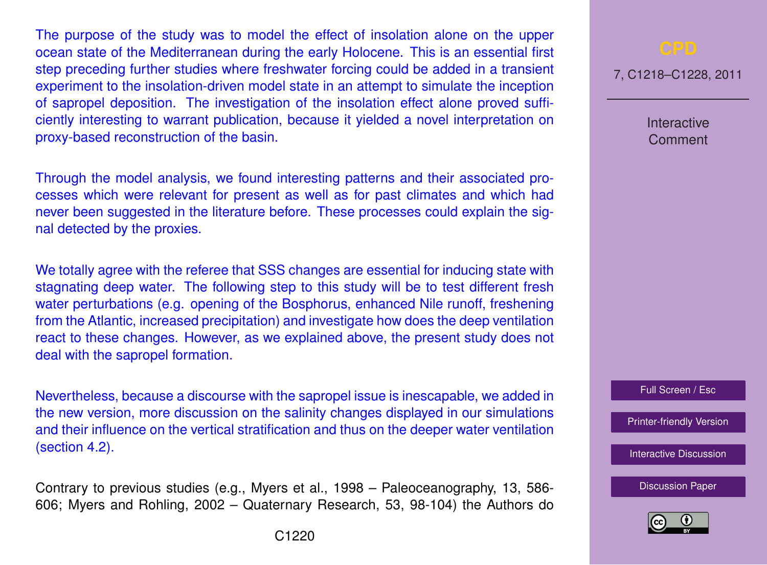The purpose of the study was to model the effect of insolation alone on the upper ocean state of the Mediterranean during the early Holocene. This is an essential first step preceding further studies where freshwater forcing could be added in a transient experiment to the insolation-driven model state in an attempt to simulate the inception of sapropel deposition. The investigation of the insolation effect alone proved sufficiently interesting to warrant publication, because it yielded a novel interpretation on proxy-based reconstruction of the basin.

Through the model analysis, we found interesting patterns and their associated processes which were relevant for present as well as for past climates and which had never been suggested in the literature before. These processes could explain the signal detected by the proxies.

We totally agree with the referee that SSS changes are essential for inducing state with stagnating deep water. The following step to this study will be to test different fresh water perturbations (e.g. opening of the Bosphorus, enhanced Nile runoff, freshening from the Atlantic, increased precipitation) and investigate how does the deep ventilation react to these changes. However, as we explained above, the present study does not deal with the sapropel formation.

Nevertheless, because a discourse with the sapropel issue is inescapable, we added in the new version, more discussion on the salinity changes displayed in our simulations and their influence on the vertical stratification and thus on the deeper water ventilation (section 4.2).

Contrary to previous studies (e.g., Myers et al., 1998 – Paleoceanography, 13, 586- 606; Myers and Rohling, 2002 – Quaternary Research, 53, 98-104) the Authors do 7, C1218–C1228, 2011

Interactive **Comment** 



[Printer-friendly Version](http://www.clim-past-discuss.net/7/C1218/2011/cpd-7-C1218-2011-print.pdf)

[Interactive Discussion](http://www.clim-past-discuss.net/7/1457/2011/cpd-7-1457-2011-discussion.html)

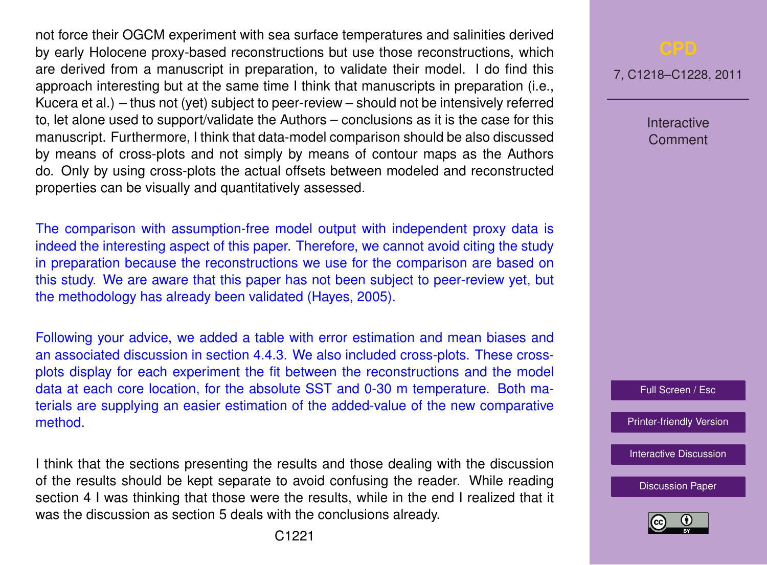not force their OGCM experiment with sea surface temperatures and salinities derived by early Holocene proxy-based reconstructions but use those reconstructions, which are derived from a manuscript in preparation, to validate their model. I do find this approach interesting but at the same time I think that manuscripts in preparation (i.e., Kucera et al.) – thus not (yet) subject to peer-review – should not be intensively referred to, let alone used to support/validate the Authors – conclusions as it is the case for this manuscript. Furthermore, I think that data-model comparison should be also discussed by means of cross-plots and not simply by means of contour maps as the Authors do. Only by using cross-plots the actual offsets between modeled and reconstructed properties can be visually and quantitatively assessed.

The comparison with assumption-free model output with independent proxy data is indeed the interesting aspect of this paper. Therefore, we cannot avoid citing the study in preparation because the reconstructions we use for the comparison are based on this study. We are aware that this paper has not been subject to peer-review yet, but the methodology has already been validated (Hayes, 2005).

Following your advice, we added a table with error estimation and mean biases and an associated discussion in section 4.4.3. We also included cross-plots. These crossplots display for each experiment the fit between the reconstructions and the model data at each core location, for the absolute SST and 0-30 m temperature. Both materials are supplying an easier estimation of the added-value of the new comparative method.

I think that the sections presenting the results and those dealing with the discussion of the results should be kept separate to avoid confusing the reader. While reading section 4 I was thinking that those were the results, while in the end I realized that it was the discussion as section 5 deals with the conclusions already.

7, C1218–C1228, 2011

Interactive Comment



[Printer-friendly Version](http://www.clim-past-discuss.net/7/C1218/2011/cpd-7-C1218-2011-print.pdf)

[Interactive Discussion](http://www.clim-past-discuss.net/7/1457/2011/cpd-7-1457-2011-discussion.html)

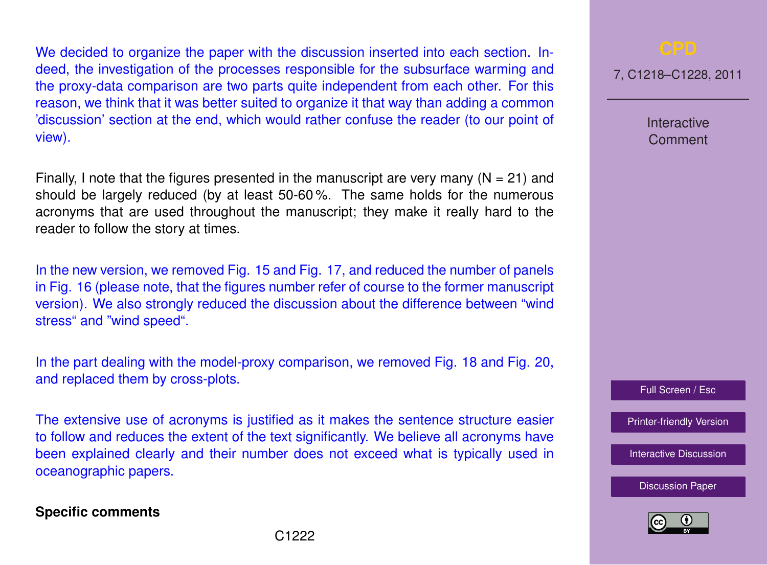We decided to organize the paper with the discussion inserted into each section. Indeed, the investigation of the processes responsible for the subsurface warming and the proxy-data comparison are two parts quite independent from each other. For this reason, we think that it was better suited to organize it that way than adding a common 'discussion' section at the end, which would rather confuse the reader (to our point of view).

Finally, I note that the figures presented in the manuscript are very many  $(N = 21)$  and should be largely reduced (by at least 50-60 %. The same holds for the numerous acronyms that are used throughout the manuscript; they make it really hard to the reader to follow the story at times.

In the new version, we removed Fig. 15 and Fig. 17, and reduced the number of panels in Fig. 16 (please note, that the figures number refer of course to the former manuscript version). We also strongly reduced the discussion about the difference between "wind stress" and "wind speed".

In the part dealing with the model-proxy comparison, we removed Fig. 18 and Fig. 20, and replaced them by cross-plots.

The extensive use of acronyms is justified as it makes the sentence structure easier to follow and reduces the extent of the text significantly. We believe all acronyms have been explained clearly and their number does not exceed what is typically used in oceanographic papers.

## **Specific comments**

7, C1218–C1228, 2011

Interactive Comment

Full Screen / Esc

[Printer-friendly Version](http://www.clim-past-discuss.net/7/C1218/2011/cpd-7-C1218-2011-print.pdf)

[Interactive Discussion](http://www.clim-past-discuss.net/7/1457/2011/cpd-7-1457-2011-discussion.html)

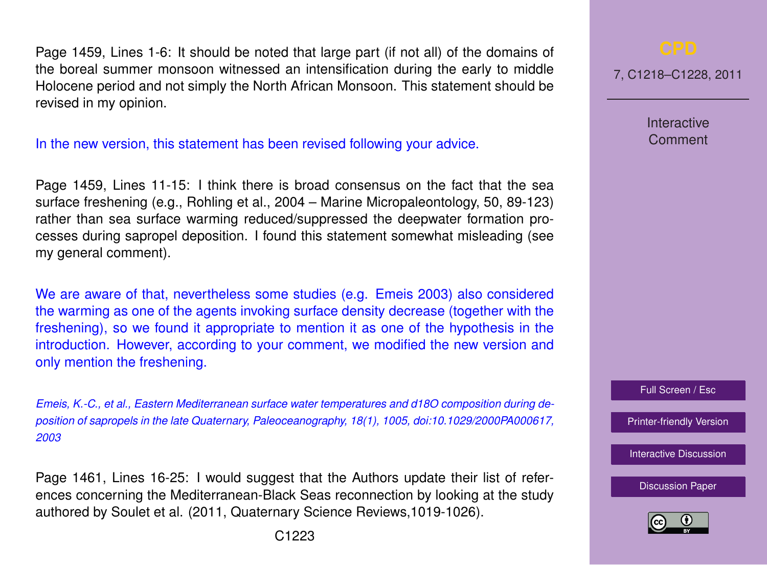Page 1459, Lines 1-6: It should be noted that large part (if not all) of the domains of the boreal summer monsoon witnessed an intensification during the early to middle Holocene period and not simply the North African Monsoon. This statement should be revised in my opinion.

In the new version, this statement has been revised following your advice.

Page 1459, Lines 11-15: I think there is broad consensus on the fact that the sea surface freshening (e.g., Rohling et al., 2004 – Marine Micropaleontology, 50, 89-123) rather than sea surface warming reduced/suppressed the deepwater formation processes during sapropel deposition. I found this statement somewhat misleading (see my general comment).

We are aware of that, nevertheless some studies (e.g. Emeis 2003) also considered the warming as one of the agents invoking surface density decrease (together with the freshening), so we found it appropriate to mention it as one of the hypothesis in the introduction. However, according to your comment, we modified the new version and only mention the freshening.

*Emeis, K.-C., et al., Eastern Mediterranean surface water temperatures and d18O composition during deposition of sapropels in the late Quaternary, Paleoceanography, 18(1), 1005, doi:10.1029/2000PA000617, 2003*

Page 1461, Lines 16-25: I would suggest that the Authors update their list of references concerning the Mediterranean-Black Seas reconnection by looking at the study authored by Soulet et al. (2011, Quaternary Science Reviews,1019-1026).

7, C1218–C1228, 2011

Interactive Comment

Full Screen / Esc

[Printer-friendly Version](http://www.clim-past-discuss.net/7/C1218/2011/cpd-7-C1218-2011-print.pdf)

[Interactive Discussion](http://www.clim-past-discuss.net/7/1457/2011/cpd-7-1457-2011-discussion.html)

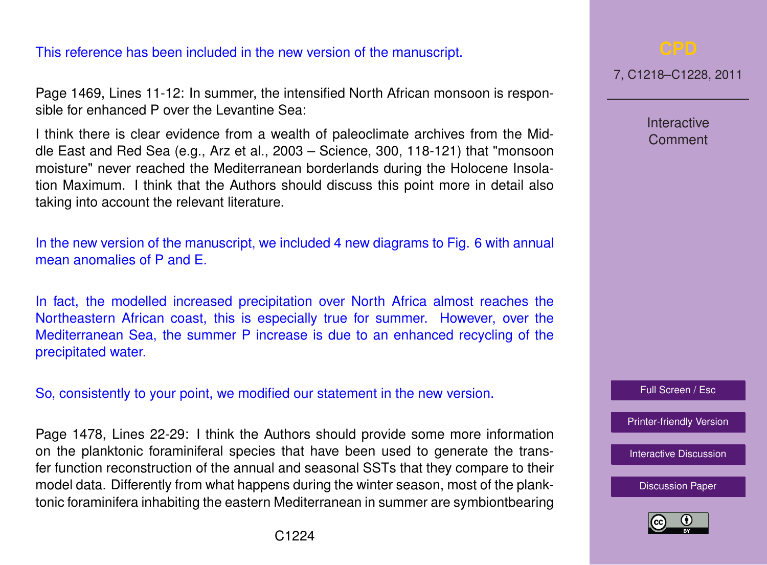# This reference has been included in the new version of the manuscript.

Page 1469, Lines 11-12: In summer, the intensified North African monsoon is responsible for enhanced P over the Levantine Sea:

I think there is clear evidence from a wealth of paleoclimate archives from the Middle East and Red Sea (e.g., Arz et al., 2003 – Science, 300, 118-121) that "monsoon moisture" never reached the Mediterranean borderlands during the Holocene Insolation Maximum. I think that the Authors should discuss this point more in detail also taking into account the relevant literature.

In the new version of the manuscript, we included 4 new diagrams to Fig. 6 with annual mean anomalies of P and E.

In fact, the modelled increased precipitation over North Africa almost reaches the Northeastern African coast, this is especially true for summer. However, over the Mediterranean Sea, the summer P increase is due to an enhanced recycling of the precipitated water.

So, consistently to your point, we modified our statement in the new version.

Page 1478, Lines 22-29: I think the Authors should provide some more information on the planktonic foraminiferal species that have been used to generate the transfer function reconstruction of the annual and seasonal SSTs that they compare to their model data. Differently from what happens during the winter season, most of the planktonic foraminifera inhabiting the eastern Mediterranean in summer are symbiontbearing



7, C1218–C1228, 2011

Interactive Comment

Full Screen / Esc

[Printer-friendly Version](http://www.clim-past-discuss.net/7/C1218/2011/cpd-7-C1218-2011-print.pdf)

[Interactive Discussion](http://www.clim-past-discuss.net/7/1457/2011/cpd-7-1457-2011-discussion.html)

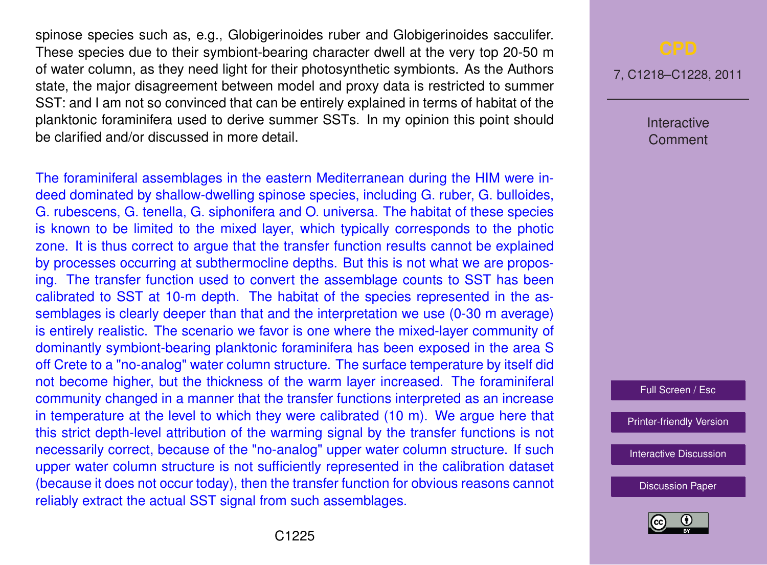spinose species such as, e.g., Globigerinoides ruber and Globigerinoides sacculifer. These species due to their symbiont-bearing character dwell at the very top 20-50 m of water column, as they need light for their photosynthetic symbionts. As the Authors state, the major disagreement between model and proxy data is restricted to summer SST: and I am not so convinced that can be entirely explained in terms of habitat of the planktonic foraminifera used to derive summer SSTs. In my opinion this point should be clarified and/or discussed in more detail.

The foraminiferal assemblages in the eastern Mediterranean during the HIM were indeed dominated by shallow-dwelling spinose species, including G. ruber, G. bulloides, G. rubescens, G. tenella, G. siphonifera and O. universa. The habitat of these species is known to be limited to the mixed layer, which typically corresponds to the photic zone. It is thus correct to argue that the transfer function results cannot be explained by processes occurring at subthermocline depths. But this is not what we are proposing. The transfer function used to convert the assemblage counts to SST has been calibrated to SST at 10-m depth. The habitat of the species represented in the assemblages is clearly deeper than that and the interpretation we use (0-30 m average) is entirely realistic. The scenario we favor is one where the mixed-layer community of dominantly symbiont-bearing planktonic foraminifera has been exposed in the area S off Crete to a "no-analog" water column structure. The surface temperature by itself did not become higher, but the thickness of the warm layer increased. The foraminiferal community changed in a manner that the transfer functions interpreted as an increase in temperature at the level to which they were calibrated (10 m). We argue here that this strict depth-level attribution of the warming signal by the transfer functions is not necessarily correct, because of the "no-analog" upper water column structure. If such upper water column structure is not sufficiently represented in the calibration dataset (because it does not occur today), then the transfer function for obvious reasons cannot reliably extract the actual SST signal from such assemblages.

7, C1218–C1228, 2011

Interactive Comment

Full Screen / Esc

[Printer-friendly Version](http://www.clim-past-discuss.net/7/C1218/2011/cpd-7-C1218-2011-print.pdf)

[Interactive Discussion](http://www.clim-past-discuss.net/7/1457/2011/cpd-7-1457-2011-discussion.html)

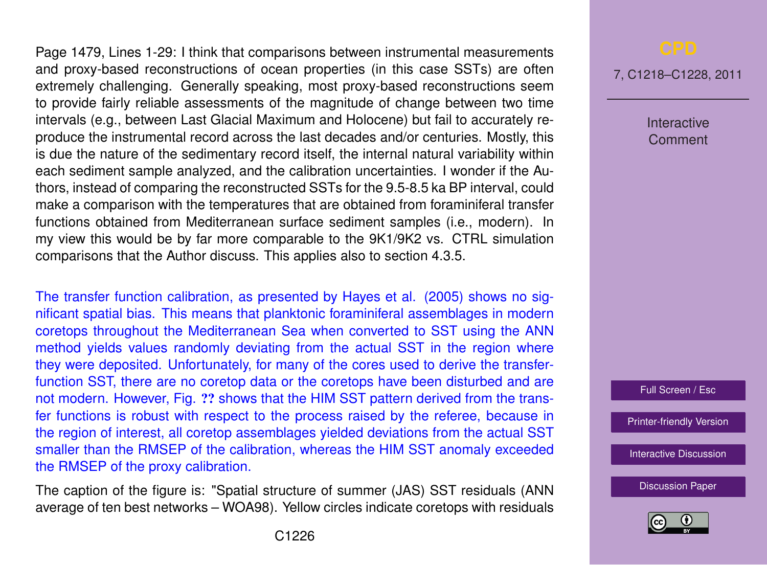Page 1479, Lines 1-29: I think that comparisons between instrumental measurements and proxy-based reconstructions of ocean properties (in this case SSTs) are often extremely challenging. Generally speaking, most proxy-based reconstructions seem to provide fairly reliable assessments of the magnitude of change between two time intervals (e.g., between Last Glacial Maximum and Holocene) but fail to accurately reproduce the instrumental record across the last decades and/or centuries. Mostly, this is due the nature of the sedimentary record itself, the internal natural variability within each sediment sample analyzed, and the calibration uncertainties. I wonder if the Authors, instead of comparing the reconstructed SSTs for the 9.5-8.5 ka BP interval, could make a comparison with the temperatures that are obtained from foraminiferal transfer functions obtained from Mediterranean surface sediment samples (i.e., modern). In my view this would be by far more comparable to the 9K1/9K2 vs. CTRL simulation comparisons that the Author discuss. This applies also to section 4.3.5.

The transfer function calibration, as presented by Hayes et al. (2005) shows no significant spatial bias. This means that planktonic foraminiferal assemblages in modern coretops throughout the Mediterranean Sea when converted to SST using the ANN method yields values randomly deviating from the actual SST in the region where they were deposited. Unfortunately, for many of the cores used to derive the transferfunction SST, there are no coretop data or the coretops have been disturbed and are not modern. However, Fig. ?? shows that the HIM SST pattern derived from the transfer functions is robust with respect to the process raised by the referee, because in the region of interest, all coretop assemblages yielded deviations from the actual SST smaller than the RMSEP of the calibration, whereas the HIM SST anomaly exceeded the RMSEP of the proxy calibration.

The caption of the figure is: "Spatial structure of summer (JAS) SST residuals (ANN average of ten best networks – WOA98). Yellow circles indicate coretops with residuals

7, C1218–C1228, 2011

Interactive Comment

Full Screen / Esc

[Printer-friendly Version](http://www.clim-past-discuss.net/7/C1218/2011/cpd-7-C1218-2011-print.pdf)

[Interactive Discussion](http://www.clim-past-discuss.net/7/1457/2011/cpd-7-1457-2011-discussion.html)

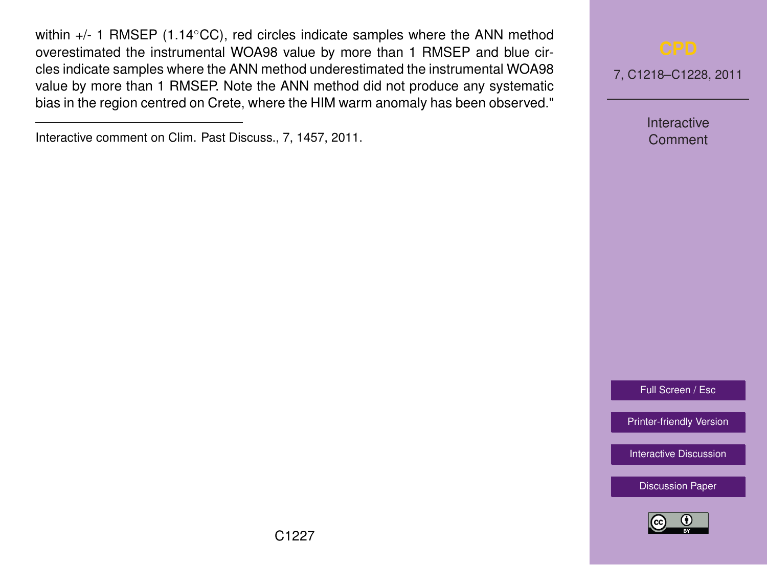within +/- 1 RMSEP (1.14 $\degree$ CC), red circles indicate samples where the ANN method overestimated the instrumental WOA98 value by more than 1 RMSEP and blue circles indicate samples where the ANN method underestimated the instrumental WOA98 value by more than 1 RMSEP. Note the ANN method did not produce any systematic bias in the region centred on Crete, where the HIM warm anomaly has been observed."



Interactive Comment

Full Screen / Esc

[Printer-friendly Version](http://www.clim-past-discuss.net/7/C1218/2011/cpd-7-C1218-2011-print.pdf)

[Interactive Discussion](http://www.clim-past-discuss.net/7/1457/2011/cpd-7-1457-2011-discussion.html)



Interactive comment on Clim. Past Discuss., 7, 1457, 2011.